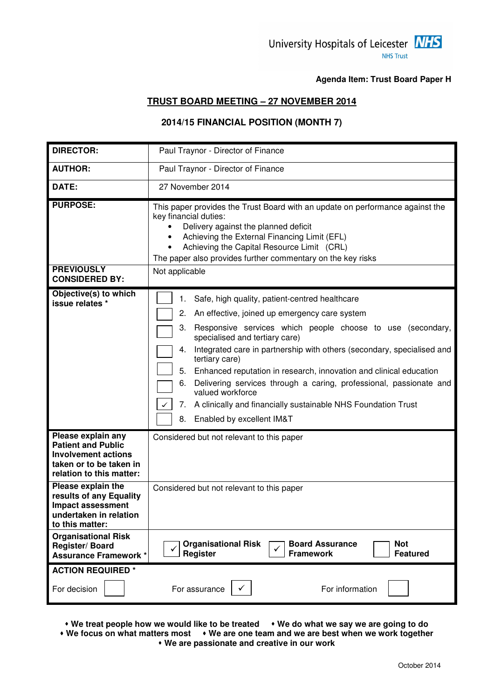

**Agenda Item: Trust Board Paper H**

#### **TRUST BOARD MEETING – 27 NOVEMBER 2014**

## **2014/15 FINANCIAL POSITION (MONTH 7)**

| <b>DIRECTOR:</b>                                                                                                                                                                      | Paul Traynor - Director of Finance                                                                                                                                                                                                                                                                                                                                                                                                                                                                                                                                                                        |
|---------------------------------------------------------------------------------------------------------------------------------------------------------------------------------------|-----------------------------------------------------------------------------------------------------------------------------------------------------------------------------------------------------------------------------------------------------------------------------------------------------------------------------------------------------------------------------------------------------------------------------------------------------------------------------------------------------------------------------------------------------------------------------------------------------------|
| <b>AUTHOR:</b>                                                                                                                                                                        | Paul Traynor - Director of Finance                                                                                                                                                                                                                                                                                                                                                                                                                                                                                                                                                                        |
| DATE:                                                                                                                                                                                 | 27 November 2014                                                                                                                                                                                                                                                                                                                                                                                                                                                                                                                                                                                          |
| <b>PURPOSE:</b><br><b>PREVIOUSLY</b><br><b>CONSIDERED BY:</b>                                                                                                                         | This paper provides the Trust Board with an update on performance against the<br>key financial duties:<br>Delivery against the planned deficit<br>Achieving the External Financing Limit (EFL)<br>٠<br>Achieving the Capital Resource Limit (CRL)<br>$\bullet$<br>The paper also provides further commentary on the key risks<br>Not applicable                                                                                                                                                                                                                                                           |
| Objective(s) to which<br>issue relates *                                                                                                                                              | Safe, high quality, patient-centred healthcare<br>1.<br>2.<br>An effective, joined up emergency care system<br>Responsive services which people choose to use (secondary,<br>3.<br>specialised and tertiary care)<br>Integrated care in partnership with others (secondary, specialised and<br>4.<br>tertiary care)<br>5.<br>Enhanced reputation in research, innovation and clinical education<br>Delivering services through a caring, professional, passionate and<br>6.<br>valued workforce<br>A clinically and financially sustainable NHS Foundation Trust<br>7.<br>8.<br>Enabled by excellent IM&T |
| Please explain any<br><b>Patient and Public</b><br><b>Involvement actions</b><br>taken or to be taken in<br>relation to this matter:<br>Please explain the<br>results of any Equality | Considered but not relevant to this paper<br>Considered but not relevant to this paper                                                                                                                                                                                                                                                                                                                                                                                                                                                                                                                    |
| Impact assessment<br>undertaken in relation<br>to this matter:                                                                                                                        |                                                                                                                                                                                                                                                                                                                                                                                                                                                                                                                                                                                                           |
| <b>Organisational Risk</b><br>Register/Board<br><b>Assurance Framework *</b>                                                                                                          | <b>Not</b><br><b>Organisational Risk</b><br><b>Board Assurance</b><br>Register<br><b>Framework</b><br><b>Featured</b>                                                                                                                                                                                                                                                                                                                                                                                                                                                                                     |
| <b>ACTION REQUIRED *</b>                                                                                                                                                              |                                                                                                                                                                                                                                                                                                                                                                                                                                                                                                                                                                                                           |
| For decision                                                                                                                                                                          | For information<br>For assurance                                                                                                                                                                                                                                                                                                                                                                                                                                                                                                                                                                          |

• We treat people how we would like to be treated • We do what we say we are going to do

 **We focus on what matters most We are one team and we are best when we work together We are passionate and creative in our work**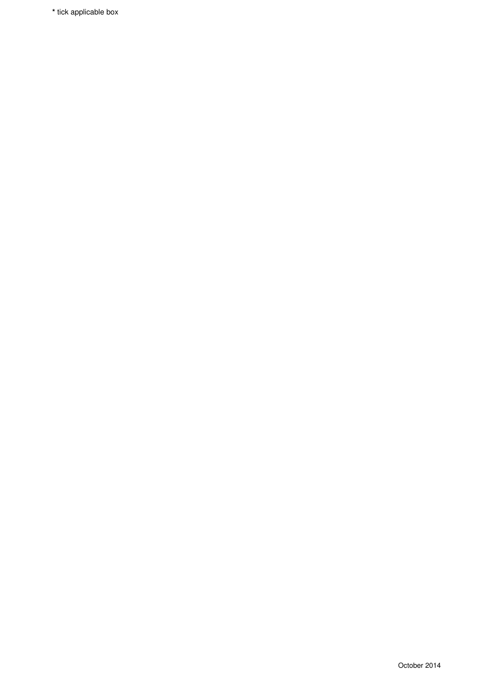**\*** tick applicable box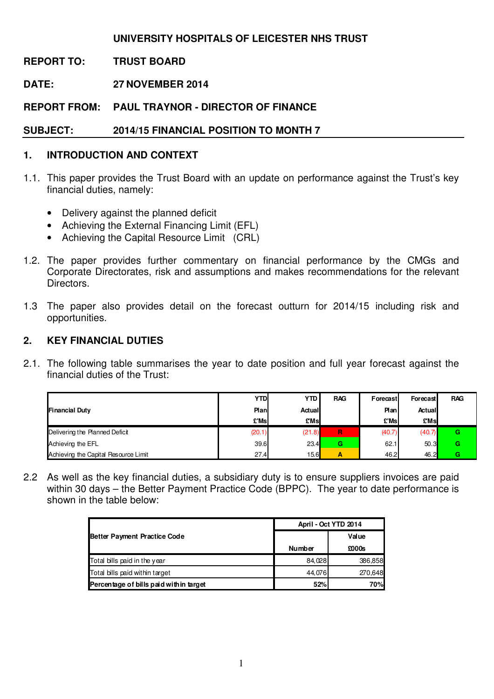## **UNIVERSITY HOSPITALS OF LEICESTER NHS TRUST**

**REPORT TO: TRUST BOARD** 

**DATE: 27 NOVEMBER 2014** 

**REPORT FROM: PAUL TRAYNOR - DIRECTOR OF FINANCE** 

**SUBJECT: 2014/15 FINANCIAL POSITION TO MONTH 7** 

## **1. INTRODUCTION AND CONTEXT**

- 1.1. This paper provides the Trust Board with an update on performance against the Trust's key financial duties, namely:
	- Delivery against the planned deficit
	- Achieving the External Financing Limit (EFL)
	- Achieving the Capital Resource Limit (CRL)
- 1.2. The paper provides further commentary on financial performance by the CMGs and Corporate Directorates, risk and assumptions and makes recommendations for the relevant Directors.
- 1.3 The paper also provides detail on the forecast outturn for 2014/15 including risk and opportunities.

#### **2. KEY FINANCIAL DUTIES**

2.1. The following table summarises the year to date position and full year forecast against the financial duties of the Trust:

|                                      | YTD    | YTD    | <b>RAG</b> | Forecast | Forecast | <b>RAG</b> |
|--------------------------------------|--------|--------|------------|----------|----------|------------|
| <b>Financial Duty</b>                | Plan.  | Actual |            | Plan     | Actual   |            |
|                                      | £'Ms   | £Ms    |            | £'Msl    | £Msl     |            |
| Delivering the Planned Deficit       | (20.1) | (21.8) | R          | (40.7)   | (40.7)   | G          |
| Achieving the EFL                    | 39.6   | 23.4   | G          | 62.1     | 50.3     | G          |
| Achieving the Capital Resource Limit | 27.4   | 15.6   | Α          | 46.2     | 46.2     | G          |

2.2 As well as the key financial duties, a subsidiary duty is to ensure suppliers invoices are paid within 30 days – the Better Payment Practice Code (BPPC). The year to date performance is shown in the table below:

|                                        | April - Oct YTD 2014 |         |  |  |
|----------------------------------------|----------------------|---------|--|--|
| <b>Better Payment Practice Code</b>    |                      | Value   |  |  |
|                                        | <b>Number</b>        | £000s   |  |  |
| Total bills paid in the year           | 84,028               | 386,858 |  |  |
| Total bills paid within target         | 44.076               | 270,648 |  |  |
| Percentage of bills paid within target | 52%                  | 70%     |  |  |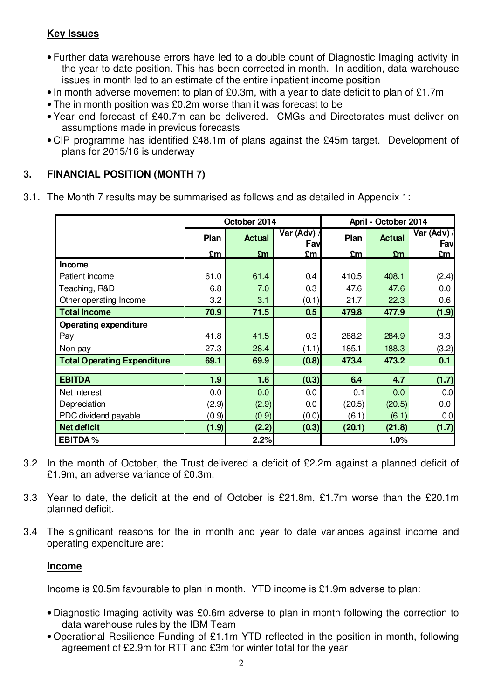## **Key Issues**

- Further data warehouse errors have led to a double count of Diagnostic Imaging activity in the year to date position. This has been corrected in month. In addition, data warehouse issues in month led to an estimate of the entire inpatient income position
- In month adverse movement to plan of £0.3m, with a year to date deficit to plan of £1.7m
- The in month position was £0.2m worse than it was forecast to be
- Year end forecast of £40.7m can be delivered. CMGs and Directorates must deliver on assumptions made in previous forecasts
- CIP programme has identified £48.1m of plans against the £45m target. Development of plans for 2015/16 is underway

## **3. FINANCIAL POSITION (MONTH 7)**

3.1. The Month 7 results may be summarised as follows and as detailed in Appendix 1:

|                                    |                                           | October 2014 |       | April - October 2014 |                    |       |  |
|------------------------------------|-------------------------------------------|--------------|-------|----------------------|--------------------|-------|--|
|                                    | Var (Adv)<br>Plan<br><b>Actual</b><br>Fav |              | Plan  | <b>Actual</b>        | Var (Adv) /<br>Fav |       |  |
|                                    | £m                                        | £m           | £m    | £m                   | £m                 | £m    |  |
| Income                             |                                           |              |       |                      |                    |       |  |
| Patient income                     | 61.0                                      | 61.4         | 0.4   | 410.5                | 408.1              | (2.4) |  |
| Teaching, R&D                      | 6.8                                       | 7.0          | 0.3   | 47.6                 | 47.6               | 0.0   |  |
| Other operating Income             | 3.2                                       | 3.1          | (0.1) | 21.7                 | 22.3               | 0.6   |  |
| <b>Total Income</b>                | 70.9                                      | 71.5         | 0.5   | 479.8                | 477.9              | (1.9) |  |
| <b>Operating expenditure</b>       |                                           |              |       |                      |                    |       |  |
| Pay                                | 41.8                                      | 41.5         | 0.3   | 288.2                | 284.9              | 3.3   |  |
| Non-pay                            | 27.3                                      | 28.4         | (1.1) | 185.1                | 188.3              | (3.2) |  |
| <b>Total Operating Expenditure</b> | 69.1                                      | 69.9         | (0.8) | 473.4                | 473.2              | 0.1   |  |
|                                    |                                           |              |       |                      |                    |       |  |
| <b>EBITDA</b>                      | 1.9                                       | 1.6          | (0.3) | 6.4                  | 4.7                | (1.7) |  |
| Net interest                       | 0.0                                       | 0.0          | 0.0   | 0.1                  | 0.0                | 0.0   |  |
| Depreciation                       | (2.9)                                     | (2.9)        | 0.0   | (20.5)               | (20.5)             | 0.0   |  |
| PDC dividend payable               | (0.9)                                     | (0.9)        | (0.0) | (6.1)                | (6.1)              | 0.0   |  |
| <b>Net deficit</b>                 | (1.9)                                     | (2.2)        | (0.3) | (20.1)               | (21.8)             | (1.7) |  |
| <b>EBITDA%</b>                     |                                           | 2.2%         |       |                      | 1.0%               |       |  |

- 3.2 In the month of October, the Trust delivered a deficit of £2.2m against a planned deficit of £1.9m, an adverse variance of £0.3m.
- 3.3 Year to date, the deficit at the end of October is £21.8m, £1.7m worse than the £20.1m planned deficit.
- 3.4 The significant reasons for the in month and year to date variances against income and operating expenditure are:

## **Income**

Income is £0.5m favourable to plan in month. YTD income is £1.9m adverse to plan:

- Diagnostic Imaging activity was £0.6m adverse to plan in month following the correction to data warehouse rules by the IBM Team
- Operational Resilience Funding of £1.1m YTD reflected in the position in month, following agreement of £2.9m for RTT and £3m for winter total for the year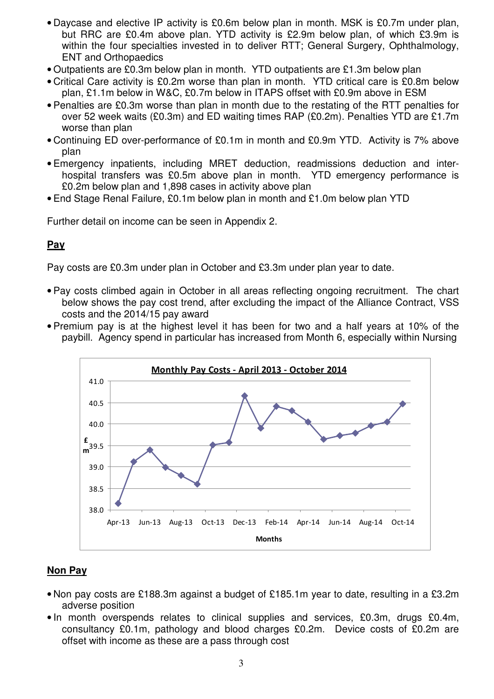- Daycase and elective IP activity is £0.6m below plan in month. MSK is £0.7m under plan, but RRC are £0.4m above plan. YTD activity is £2.9m below plan, of which £3.9m is within the four specialties invested in to deliver RTT; General Surgery, Ophthalmology, ENT and Orthopaedics
- Outpatients are £0.3m below plan in month. YTD outpatients are £1.3m below plan
- Critical Care activity is £0.2m worse than plan in month. YTD critical care is £0.8m below plan, £1.1m below in W&C, £0.7m below in ITAPS offset with £0.9m above in ESM
- Penalties are £0.3m worse than plan in month due to the restating of the RTT penalties for over 52 week waits (£0.3m) and ED waiting times RAP (£0.2m). Penalties YTD are £1.7m worse than plan
- Continuing ED over-performance of £0.1m in month and £0.9m YTD. Activity is 7% above plan
- Emergency inpatients, including MRET deduction, readmissions deduction and interhospital transfers was £0.5m above plan in month. YTD emergency performance is £0.2m below plan and 1,898 cases in activity above plan
- End Stage Renal Failure, £0.1m below plan in month and £1.0m below plan YTD

Further detail on income can be seen in Appendix 2.

## **Pay**

Pay costs are £0.3m under plan in October and £3.3m under plan year to date.

- Pay costs climbed again in October in all areas reflecting ongoing recruitment. The chart below shows the pay cost trend, after excluding the impact of the Alliance Contract, VSS costs and the 2014/15 pay award
- Premium pay is at the highest level it has been for two and a half years at 10% of the paybill. Agency spend in particular has increased from Month 6, especially within Nursing



## **Non Pay**

- Non pay costs are £188.3m against a budget of £185.1m year to date, resulting in a £3.2m adverse position
- In month overspends relates to clinical supplies and services, £0.3m, drugs £0.4m, consultancy £0.1m, pathology and blood charges £0.2m. Device costs of £0.2m are offset with income as these are a pass through cost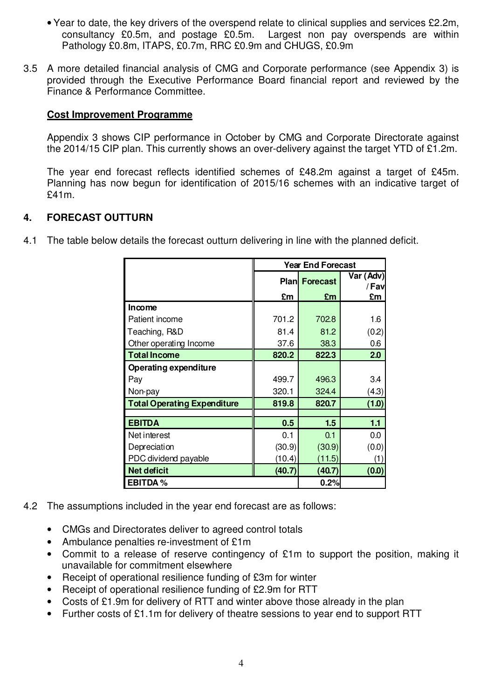- Year to date, the key drivers of the overspend relate to clinical supplies and services £2.2m, consultancy £0.5m, and postage £0.5m. Largest non pay overspends are within Pathology £0.8m, ITAPS, £0.7m, RRC £0.9m and CHUGS, £0.9m
- 3.5 A more detailed financial analysis of CMG and Corporate performance (see Appendix 3) is provided through the Executive Performance Board financial report and reviewed by the Finance & Performance Committee.

#### **Cost Improvement Programme**

Appendix 3 shows CIP performance in October by CMG and Corporate Directorate against the 2014/15 CIP plan. This currently shows an over-delivery against the target YTD of £1.2m.

The year end forecast reflects identified schemes of £48.2m against a target of £45m. Planning has now begun for identification of 2015/16 schemes with an indicative target of £41m.

#### **4. FORECAST OUTTURN**

4.1 The table below details the forecast outturn delivering in line with the planned deficit.

|                                    | <b>Year End Forecast</b> |                      |                    |  |  |  |
|------------------------------------|--------------------------|----------------------|--------------------|--|--|--|
|                                    |                          | <b>Plan Forecast</b> | Var (Adv)<br>/ Fav |  |  |  |
|                                    | £m                       | £m                   | £m                 |  |  |  |
| Income                             |                          |                      |                    |  |  |  |
| Patient income                     | 701.2                    | 702.8                | 1.6                |  |  |  |
| Teaching, R&D                      | 81.4                     | 81.2                 | (0.2)              |  |  |  |
| Other operating Income             | 37.6                     | 38.3                 | 0.6                |  |  |  |
| <b>Total Income</b>                | 820.2                    | 822.3                | 2.0                |  |  |  |
| Operating expenditure              |                          |                      |                    |  |  |  |
| Pay                                | 499.7                    | 496.3                | 34                 |  |  |  |
| Non-pay                            | 320.1                    | 324.4                | (4.3)              |  |  |  |
| <b>Total Operating Expenditure</b> | 819.8                    | 820.7                | (1.0)              |  |  |  |
|                                    |                          |                      |                    |  |  |  |
| <b>EBITDA</b>                      | 0.5                      | 1.5                  | 1.1                |  |  |  |
| Net interest                       | 0.1                      | 0.1                  | 0.0                |  |  |  |
| Depreciation                       | (30.9)                   | (30.9)               | (0.0)              |  |  |  |
| PDC dividend payable               | (10.4)                   | (11.5)               | (1)                |  |  |  |
| <b>Net deficit</b>                 | (40.7)                   | (40.7)               | (0.0)              |  |  |  |
| <b>EBITDA%</b>                     |                          | 0.2%                 |                    |  |  |  |

- 4.2 The assumptions included in the year end forecast are as follows:
	- CMGs and Directorates deliver to agreed control totals
	- Ambulance penalties re-investment of £1m
	- Commit to a release of reserve contingency of £1m to support the position, making it unavailable for commitment elsewhere
	- Receipt of operational resilience funding of £3m for winter
	- Receipt of operational resilience funding of £2.9m for RTT
	- Costs of £1.9m for delivery of RTT and winter above those already in the plan
	- Further costs of £1.1m for delivery of theatre sessions to year end to support RTT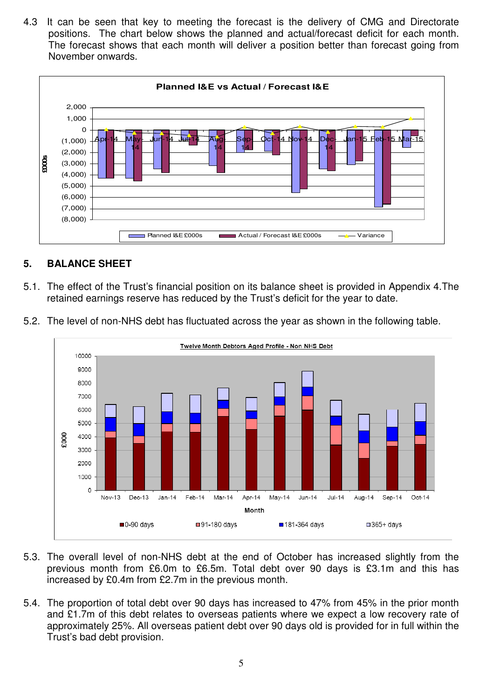4.3 It can be seen that key to meeting the forecast is the delivery of CMG and Directorate positions. The chart below shows the planned and actual/forecast deficit for each month. The forecast shows that each month will deliver a position better than forecast going from November onwards.



## **5. BALANCE SHEET**

- 5.1. The effect of the Trust's financial position on its balance sheet is provided in Appendix 4.The retained earnings reserve has reduced by the Trust's deficit for the year to date.
- 5.2. The level of non-NHS debt has fluctuated across the year as shown in the following table. Twelve Month Debtors Aged Profile - Non NHS Debt 10000



- 5.3. The overall level of non-NHS debt at the end of October has increased slightly from the previous month from £6.0m to £6.5m. Total debt over 90 days is £3.1m and this has increased by £0.4m from £2.7m in the previous month.
- 5.4. The proportion of total debt over 90 days has increased to 47% from 45% in the prior month and £1.7m of this debt relates to overseas patients where we expect a low recovery rate of approximately 25%. All overseas patient debt over 90 days old is provided for in full within the Trust's bad debt provision.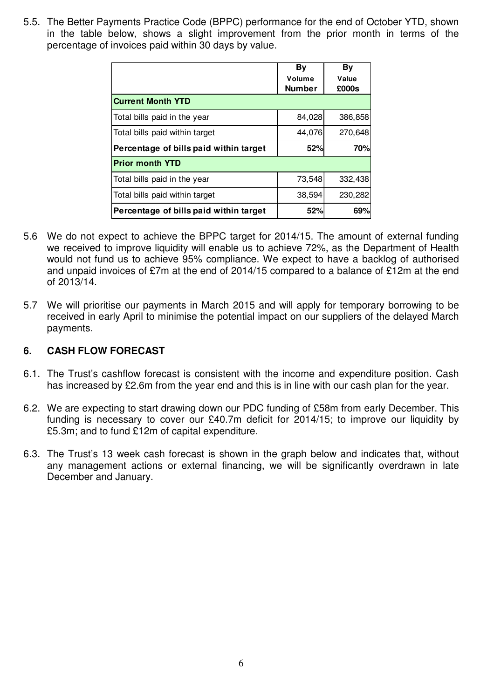5.5. The Better Payments Practice Code (BPPC) performance for the end of October YTD, shown in the table below, shows a slight improvement from the prior month in terms of the percentage of invoices paid within 30 days by value.

|                                        | By            | By      |
|----------------------------------------|---------------|---------|
|                                        | Volume        | Value   |
|                                        | <b>Number</b> | £000s   |
| <b>Current Month YTD</b>               |               |         |
| Total bills paid in the year           | 84,028        | 386,858 |
| Total bills paid within target         | 44,076        | 270,648 |
| Percentage of bills paid within target | 52%           | 70%     |
| <b>Prior month YTD</b>                 |               |         |
| Total bills paid in the year           | 73,548        | 332,438 |
| Total bills paid within target         | 38,594        | 230,282 |
| Percentage of bills paid within target | 52%           | 69%     |

- 5.6 We do not expect to achieve the BPPC target for 2014/15. The amount of external funding we received to improve liquidity will enable us to achieve 72%, as the Department of Health would not fund us to achieve 95% compliance. We expect to have a backlog of authorised and unpaid invoices of £7m at the end of 2014/15 compared to a balance of £12m at the end of 2013/14.
- 5.7 We will prioritise our payments in March 2015 and will apply for temporary borrowing to be received in early April to minimise the potential impact on our suppliers of the delayed March payments.

#### **6. CASH FLOW FORECAST**

- 6.1. The Trust's cashflow forecast is consistent with the income and expenditure position. Cash has increased by £2.6m from the year end and this is in line with our cash plan for the year.
- 6.2. We are expecting to start drawing down our PDC funding of £58m from early December. This funding is necessary to cover our £40.7m deficit for 2014/15; to improve our liquidity by £5.3m; and to fund £12m of capital expenditure.
- 6.3. The Trust's 13 week cash forecast is shown in the graph below and indicates that, without any management actions or external financing, we will be significantly overdrawn in late December and January.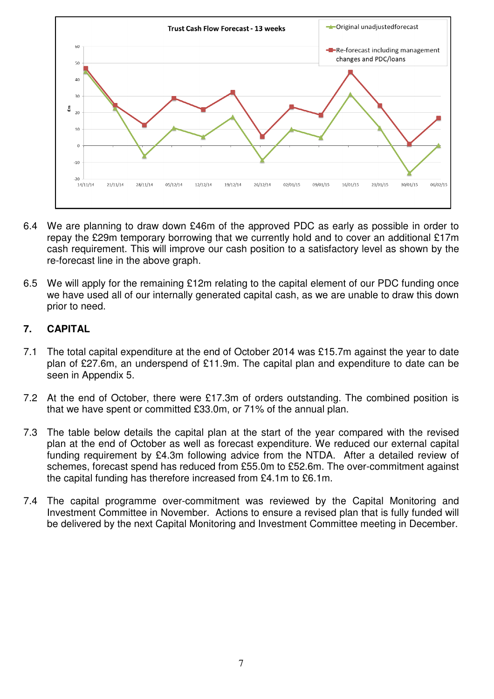

- 6.4 We are planning to draw down £46m of the approved PDC as early as possible in order to repay the £29m temporary borrowing that we currently hold and to cover an additional £17m cash requirement. This will improve our cash position to a satisfactory level as shown by the re-forecast line in the above graph.
- 6.5 We will apply for the remaining £12m relating to the capital element of our PDC funding once we have used all of our internally generated capital cash, as we are unable to draw this down prior to need.

## **7. CAPITAL**

- 7.1 The total capital expenditure at the end of October 2014 was £15.7m against the year to date plan of £27.6m, an underspend of £11.9m. The capital plan and expenditure to date can be seen in Appendix 5.
- 7.2 At the end of October, there were £17.3m of orders outstanding. The combined position is that we have spent or committed £33.0m, or 71% of the annual plan.
- 7.3 The table below details the capital plan at the start of the year compared with the revised plan at the end of October as well as forecast expenditure. We reduced our external capital funding requirement by £4.3m following advice from the NTDA. After a detailed review of schemes, forecast spend has reduced from £55.0m to £52.6m. The over-commitment against the capital funding has therefore increased from £4.1m to £6.1m.
- 7.4 The capital programme over-commitment was reviewed by the Capital Monitoring and Investment Committee in November. Actions to ensure a revised plan that is fully funded will be delivered by the next Capital Monitoring and Investment Committee meeting in December.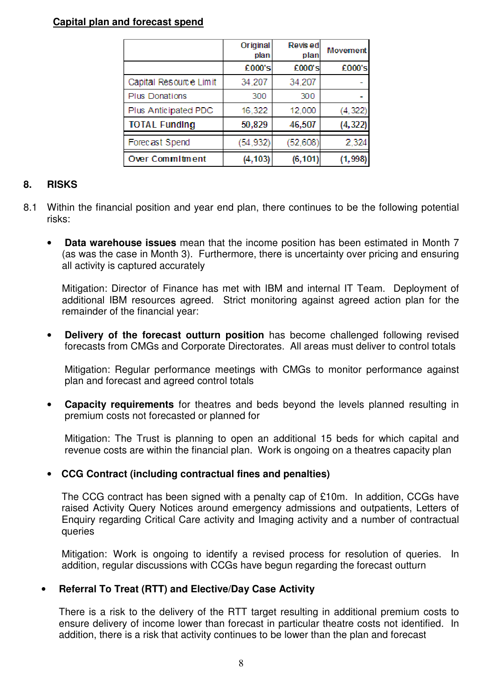#### **Capital plan and forecast spend**

|                        | Original<br>plan | Revised<br>plan | <b>Movement</b> |
|------------------------|------------------|-----------------|-----------------|
|                        | £000's           | £000's          | £000's          |
| Capital Resource Limit | 34,207           | 34,207          |                 |
| <b>Plus Donations</b>  | 300              | 300             |                 |
| Plus Anticipated PDC   | 16,322           | 12,000          | (4, 322)        |
| <b>TOTAL Funding</b>   | 50,829           | 46,507          | (4, 322)        |
| Forecast Spend         | (54, 932)        | (52,608)        | 2,324           |
| Over Commitment        | (4, 103)         | (6, 101)        | (1,998)         |

#### **8. RISKS**

- 8.1 Within the financial position and year end plan, there continues to be the following potential risks:
	- **Data warehouse issues** mean that the income position has been estimated in Month 7 (as was the case in Month 3). Furthermore, there is uncertainty over pricing and ensuring all activity is captured accurately

Mitigation: Director of Finance has met with IBM and internal IT Team. Deployment of additional IBM resources agreed. Strict monitoring against agreed action plan for the remainder of the financial year:

• **Delivery of the forecast outturn position** has become challenged following revised forecasts from CMGs and Corporate Directorates. All areas must deliver to control totals

Mitigation: Regular performance meetings with CMGs to monitor performance against plan and forecast and agreed control totals

• **Capacity requirements** for theatres and beds beyond the levels planned resulting in premium costs not forecasted or planned for

Mitigation: The Trust is planning to open an additional 15 beds for which capital and revenue costs are within the financial plan. Work is ongoing on a theatres capacity plan

#### • **CCG Contract (including contractual fines and penalties)**

The CCG contract has been signed with a penalty cap of £10m. In addition, CCGs have raised Activity Query Notices around emergency admissions and outpatients, Letters of Enquiry regarding Critical Care activity and Imaging activity and a number of contractual queries

Mitigation: Work is ongoing to identify a revised process for resolution of queries. In addition, regular discussions with CCGs have begun regarding the forecast outturn

#### • **Referral To Treat (RTT) and Elective/Day Case Activity**

There is a risk to the delivery of the RTT target resulting in additional premium costs to ensure delivery of income lower than forecast in particular theatre costs not identified. In addition, there is a risk that activity continues to be lower than the plan and forecast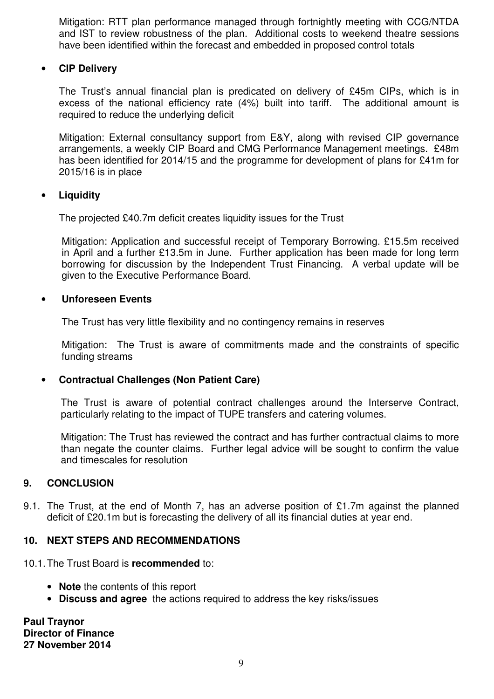Mitigation: RTT plan performance managed through fortnightly meeting with CCG/NTDA and IST to review robustness of the plan. Additional costs to weekend theatre sessions have been identified within the forecast and embedded in proposed control totals

#### • **CIP Delivery**

The Trust's annual financial plan is predicated on delivery of £45m CIPs, which is in excess of the national efficiency rate (4%) built into tariff. The additional amount is required to reduce the underlying deficit

Mitigation: External consultancy support from E&Y, along with revised CIP governance arrangements, a weekly CIP Board and CMG Performance Management meetings. £48m has been identified for 2014/15 and the programme for development of plans for £41m for 2015/16 is in place

## • **Liquidity**

The projected £40.7m deficit creates liquidity issues for the Trust

Mitigation: Application and successful receipt of Temporary Borrowing. £15.5m received in April and a further £13.5m in June. Further application has been made for long term borrowing for discussion by the Independent Trust Financing. A verbal update will be given to the Executive Performance Board.

#### • **Unforeseen Events**

The Trust has very little flexibility and no contingency remains in reserves

Mitigation: The Trust is aware of commitments made and the constraints of specific funding streams

## • **Contractual Challenges (Non Patient Care)**

The Trust is aware of potential contract challenges around the Interserve Contract, particularly relating to the impact of TUPE transfers and catering volumes.

Mitigation: The Trust has reviewed the contract and has further contractual claims to more than negate the counter claims. Further legal advice will be sought to confirm the value and timescales for resolution

## **9. CONCLUSION**

9.1. The Trust, at the end of Month 7, has an adverse position of £1.7m against the planned deficit of £20.1m but is forecasting the delivery of all its financial duties at year end.

## **10. NEXT STEPS AND RECOMMENDATIONS**

- 10.1. The Trust Board is **recommended** to:
	- **Note** the contents of this report
	- **Discuss and agree** the actions required to address the key risks/issues

**Paul Traynor Director of Finance 27 November 2014**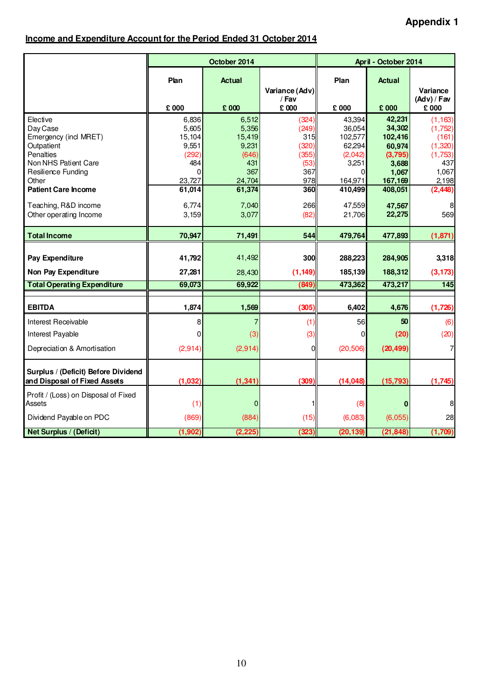## **Income and Expenditure Account for the Period Ended 31 October 2014**

|                                                                     |                 | October 2014    |                                  |                   | April - October 2014 |                         |
|---------------------------------------------------------------------|-----------------|-----------------|----------------------------------|-------------------|----------------------|-------------------------|
|                                                                     | Plan            | <b>Actual</b>   | Variance (Adv)<br>/ Fav<br>£ 000 | Plan              | <b>Actual</b>        | Variance<br>(Adv) / Fav |
|                                                                     | £ 000           | £ 000           |                                  | £ 000             | £ 000                | £ 000                   |
| Elective                                                            | 6,836           | 6,512           | (324)                            | 43,394            | 42,231               | (1, 163)                |
| Day Case<br>Emergency (incl MRET)                                   | 5,605<br>15,104 | 5,356<br>15,419 | (249)<br>315                     | 36,054<br>102,577 | 34,302<br>102,416    | (1,752)<br>(161)        |
| Outpatient                                                          | 9,551           | 9,231           | (320)                            | 62,294            | 60,974               | (1,320)                 |
| Penalties                                                           | (292)           | (646)           | (355)                            | (2,042)           | (3,795)              | (1,753)                 |
| Non NHS Patient Care                                                | 484             | 431             | (53)                             | 3,251             | 3,688                | 437                     |
| Resilience Funding                                                  | $\Omega$        | 367             | 367                              | U                 | 1,067                | 1,067                   |
| Other                                                               | 23,727          | 24,704          | 978                              | 164,971           | 167,169              | 2,198                   |
| <b>Patient Care Income</b>                                          | 61,014          | 61,374          | 360                              | 410,499           | 408,051              | (2, 448)                |
| Teaching, R&D income                                                | 6,774           | 7,040           | 266                              | 47,559            | 47,567               |                         |
| Other operating Income                                              | 3,159           | 3,077           | (82)                             | 21,706            | 22,275               | 569                     |
|                                                                     |                 |                 |                                  |                   |                      |                         |
| <b>Total Income</b>                                                 | 70,947          | 71,491          | <b>544</b>                       | 479,764           | 477,893              | (1, 871)                |
| Pay Expenditure                                                     | 41,792          | 41,492          | <b>300</b>                       | 288,223           | 284,905              | 3,318                   |
| Non Pay Expenditure                                                 | 27,281          | 28,430          | (1, 149)                         | 185,139           | 188,312              | (3, 173)                |
| <b>Total Operating Expenditure</b>                                  | 69,073          | 69,922          | (849)                            | 473,362           | 473,217              | 145                     |
|                                                                     |                 |                 |                                  |                   |                      |                         |
| <b>EBITDA</b>                                                       | 1,874           | 1,569           | (305)                            | 6,402             | 4,676                | (1,726)                 |
| <b>Interest Receivable</b>                                          | 8               | 7               | (1)                              | 56                | 50                   | (6)                     |
| Interest Payable                                                    | $\Omega$        | (3)             | (3)                              | 0                 | (20)                 | (20)                    |
| Depreciation & Amortisation                                         | (2,914)         | (2,914)         | <sub>0</sub>                     | (20, 506)         | (20, 499)            | 7                       |
| Surplus / (Deficit) Before Dividend<br>and Disposal of Fixed Assets | (1,032)         | (1, 341)        | (309)                            | (14, 048)         | (15, 793)            | (1,745)                 |
| Profit / (Loss) on Disposal of Fixed<br>Assets                      | (1)             | 0               |                                  | (8)               | 0                    | 8                       |
| Dividend Payable on PDC                                             | (869)           | (884)           | (15)                             | (6,083)           | (6,055)              | 28                      |
| <b>Net Surplus / (Deficit)</b>                                      | (1, 902)        | (2, 225)        | (323)                            | (20, 139)         | (21, 848)            | (1,709)                 |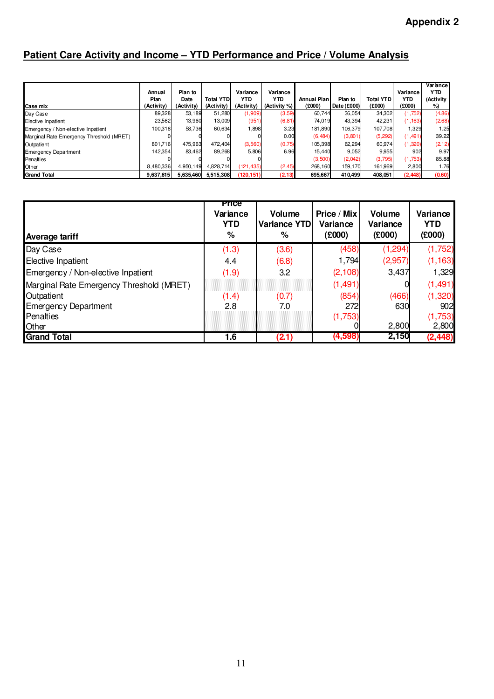# **Patient Care Activity and Income – YTD Performance and Price / Volume Analysis**

|                                          |            |            |                  |            |              |             |             |                  |            | Variance   |
|------------------------------------------|------------|------------|------------------|------------|--------------|-------------|-------------|------------------|------------|------------|
|                                          | Annual     | Plan to    |                  | Variance   | Variance     |             |             |                  | Variance   | <b>YTD</b> |
|                                          | Plan       | Date       | <b>Total YTD</b> | YTD        | <b>YTD</b>   | Annual Plan | Plan to     | <b>Total YTD</b> | <b>YTD</b> | (Activity  |
| Case mix                                 | (Activity) | (Activity) | (Activity)       | (Activity) | (Activity %) | (000)       | Date (£000) | (£000)           | (0002)     | %)         |
| Day Case                                 | 89,328     | 53.189     | 51,280           | (1,909)    | (3.59)       | 60.744      | 36,054      | 34,302           | (1,752)    | (4.86)     |
| Elective Inpatient                       | 23,562     | 13,960     | 13,009           | (951)      | (6.81)       | 74,019      | 43,394      | 42,231           | (1, 163)   | (2.68)     |
| Emergency / Non-elective Inpatient       | 100.318    | 58.736     | 60,634           | 1,898      | 3.23         | 181,890     | 106.379     | 107.708          | 1,329      | 1.25       |
| Marginal Rate Emergency Threshold (MRET) |            |            |                  |            | 0.00         | (6,484)     | (3,801)     | (5, 292)         | (1,491)    | 39.22      |
| Outpatient                               | 801.716    | 475.963    | 472.404          | (3,560)    | (0.75)       | 105,398     | 62,294      | 60,974           | (1,320)    | (2.12)     |
| <b>Emergency Department</b>              | 142,354    | 83,462     | 89,268           | 5,806      | 6.96         | 15,440      | 9,052       | 9,955            | 902        | 9.97       |
| Penalties                                |            |            |                  |            |              | (3,500)     | (2,042)     | (3,795)          | (1,753)    | 85.88      |
| Other                                    | 8,480,336  | 4,950,149  | 4,828,714        | (121, 435) | (2.45)       | 268.160     | 159,170     | 161,969          | 2,800      | 1.76       |
| <b>Grand Total</b>                       | 9,637,615  | 5,635,460  | 5,515,308        | (120, 151) | (2.13)       | 695,667     | 410,499     | 408,051          | (2, 448)   | (0.60)     |

| <b>Average tariff</b>                    | <b>Price</b><br>Variance<br><b>YTD</b><br>% | Volume<br>Variance YTD<br>% | Price / Mix<br>Variance<br>(0003) | <b>Volume</b><br><b>Variance</b><br>(000) | Variance<br><b>YTD</b><br>(£000) |
|------------------------------------------|---------------------------------------------|-----------------------------|-----------------------------------|-------------------------------------------|----------------------------------|
| Day Case                                 | (1.3)                                       | (3.6)                       | (458)                             | (1, 294)                                  | (1,752)                          |
| <b>Elective Inpatient</b>                | 4.4                                         | (6.8)                       | 1,794                             | (2,957)                                   | (1, 163)                         |
| Emergency / Non-elective Inpatient       | (1.9)                                       | 3.2                         | (2, 108)                          | 3,437                                     | 1,329                            |
| Marginal Rate Emergency Threshold (MRET) |                                             |                             | (1, 491)                          |                                           | (1, 491)                         |
| Outpatient                               | (1.4)                                       | (0.7)                       | (854)                             | (466)                                     | (1,320)                          |
| <b>Emergency Department</b>              | 2.8                                         | 7.0                         | 272                               | 630                                       | 902                              |
| Penalties                                |                                             |                             | (1,753)                           |                                           | (1,753)                          |
| Other                                    |                                             |                             |                                   | 2,800                                     | 2,800                            |
| <b>Grand Total</b>                       | 1.6                                         | (2.1)                       | (4,598)                           | 2,150                                     | (2, 448)                         |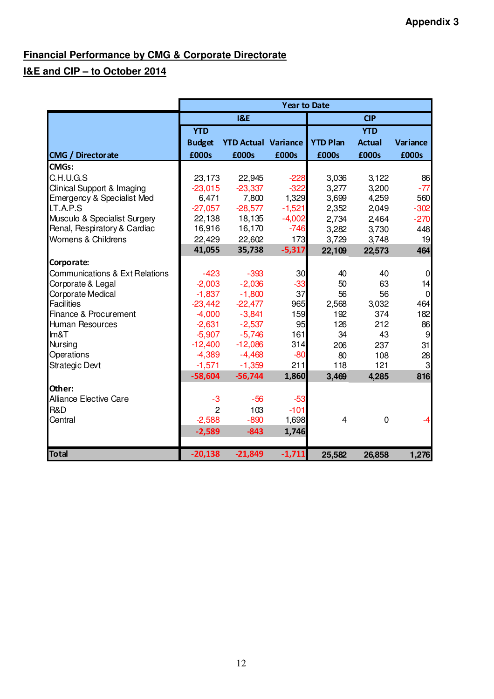# **Financial Performance by CMG & Corporate Directorate**

# **I&E and CIP – to October 2014**

|                                           | <b>Year to Date</b> |                            |          |                 |               |                |  |  |  |
|-------------------------------------------|---------------------|----------------------------|----------|-----------------|---------------|----------------|--|--|--|
|                                           |                     | <b>1&amp;E</b>             |          |                 | <b>CIP</b>    |                |  |  |  |
|                                           | <b>YTD</b>          |                            |          |                 | <b>YTD</b>    |                |  |  |  |
|                                           | <b>Budget</b>       | <b>YTD Actual Variance</b> |          | <b>YTD Plan</b> | <b>Actual</b> | Variance       |  |  |  |
| <b>CMG / Directorate</b>                  | £000s               | £000s                      | £000s    | £000s           | £000s         | £000s          |  |  |  |
| <b>CMGs:</b>                              |                     |                            |          |                 |               |                |  |  |  |
| C.H.U.G.S                                 | 23,173              | 22,945                     | $-228$   | 3,036           | 3,122         | 86             |  |  |  |
| Clinical Support & Imaging                | $-23,015$           | $-23,337$                  | $-322$   | 3,277           | 3,200         | $-77$          |  |  |  |
| Emergency & Specialist Med                | 6,471               | 7,800                      | 1,329    | 3,699           | 4,259         | 560            |  |  |  |
| I.T.A.P.S                                 | $-27,057$           | $-28,577$                  | $-1,521$ | 2,352           | 2,049         | $-302$         |  |  |  |
| Musculo & Specialist Surgery              | 22,138              | 18,135                     | $-4,002$ | 2,734           | 2,464         | $-270$         |  |  |  |
| Renal, Respiratory & Cardiac              | 16,916              | 16,170                     | $-746$   | 3,282           | 3,730         | 448            |  |  |  |
| Womens & Childrens                        | 22,429              | 22,602                     | 173      | 3,729           | 3,748         | 19             |  |  |  |
|                                           | 41,055              | 35,738                     | $-5,317$ | 22,109          | 22,573        | 464            |  |  |  |
| Corporate:                                |                     |                            |          |                 |               |                |  |  |  |
| <b>Communications &amp; Ext Relations</b> | $-423$              | $-393$                     | 30       | 40              | 40            | $\mathbf 0$    |  |  |  |
| Corporate & Legal                         | $-2,003$            | $-2,036$                   | $-33$    | 50              | 63            | 14             |  |  |  |
| Corporate Medical                         | $-1,837$            | $-1,800$                   | 37       | 56              | 56            | $\overline{0}$ |  |  |  |
| <b>Facilities</b>                         | $-23,442$           | $-22,477$                  | 965      | 2,568           | 3,032         | 464            |  |  |  |
| Finance & Procurement                     | $-4,000$            | $-3,841$                   | 159      | 192             | 374           | 182            |  |  |  |
| <b>Human Resources</b>                    | $-2,631$            | $-2,537$                   | 95       | 126             | 212           | 86             |  |  |  |
| Im&T                                      | $-5,907$            | $-5,746$                   | 161      | 34              | 43            | 9              |  |  |  |
| <b>Nursing</b>                            | $-12,400$           | $-12,086$                  | 314      | 206             | 237           | 31             |  |  |  |
| Operations                                | $-4,389$            | $-4,468$                   | $-80$    | 80              | 108           | 28             |  |  |  |
| Strategic Devt                            | $-1,571$            | $-1,359$                   | 211      | 118             | 121           | 3              |  |  |  |
|                                           | $-58,604$           | $-56,744$                  | 1,860    | 3,469           | 4,285         | 816            |  |  |  |
| Other:                                    |                     |                            |          |                 |               |                |  |  |  |
| <b>Alliance Elective Care</b>             | $-3$                | $-56$                      | $-53$    |                 |               |                |  |  |  |
| R&D                                       | $\overline{2}$      | 103                        | $-101$   |                 |               |                |  |  |  |
| Central                                   | $-2,588$            | $-890$                     | 1,698    | 4               | $\mathbf 0$   | -4             |  |  |  |
|                                           | $-2,589$            | $-843$                     | 1,746    |                 |               |                |  |  |  |
|                                           |                     |                            |          |                 |               |                |  |  |  |
| <b>Total</b>                              | $-20,138$           | $-21,849$                  | $-1,711$ | 25,582          | 26,858        | 1,276          |  |  |  |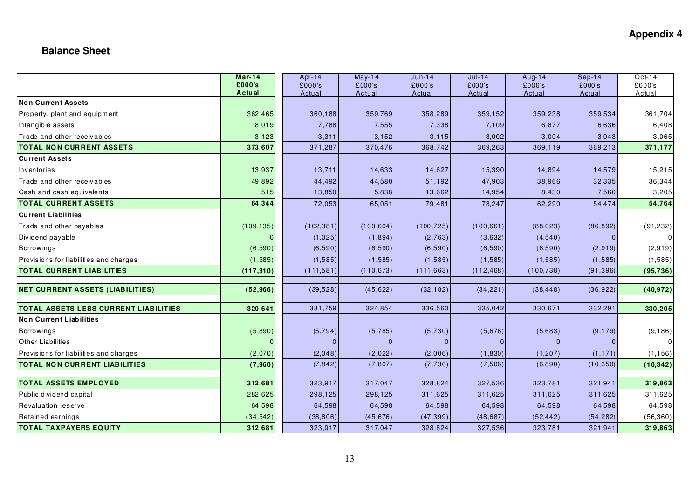## **Appendix 4**

## **Balance Sheet**

|                                              | $Mar-14$<br>£000's | Apr-14           | $May-14$         | $Jun-14$         | $Jul-14$         | Aug-14           | $Sep-14$         | Oct-14           |
|----------------------------------------------|--------------------|------------------|------------------|------------------|------------------|------------------|------------------|------------------|
|                                              | Actual             | £000's<br>Actual | £000's<br>Actual | £000's<br>Actual | £000's<br>Actual | £000's<br>Actual | £000's<br>Actual | £000's<br>Actual |
| Non Current Assets                           |                    |                  |                  |                  |                  |                  |                  |                  |
| Property, plant and equipment                | 362,465            | 360,188          | 359,769          | 358,289          | 359,152          | 359,238          | 359,534          | 361,704          |
| Intangible assets                            | 8,019              | 7,788            | 7,555            | 7,338            | 7,109            | 6,877            | 6,636            | 6,408            |
| Trade and other receivables                  | 3,123              | 3,311            | 3,152            | 3,115            | 3,002            | 3,004            | 3,043            | 3,065            |
| <b>TOTAL NON CURRENT ASSETS</b>              | 373,607            | 371,287          | 370,476          | 368,742          | 369,263          | 369,119          | 369,213          | 371,177          |
| <b>Current Assets</b>                        |                    |                  |                  |                  |                  |                  |                  |                  |
| Inventories                                  | 13,937             | 13,711           | 14,633           | 14,627           | 15,390           | 14,894           | 14,579           | 15,215           |
| Trade and other receivables                  | 49,892             | 44,492           | 44,580           | 51,192           | 47,903           | 38,966           | 32,335           | 36,344           |
| Cash and cash equivalents                    | 515                | 13,850           | 5,838            | 13,662           | 14,954           | 8,430            | 7,560            | 3,205            |
| <b>TOTAL CURRENT ASSETS</b>                  | 64,344             | 72,053           | 65,051           | 79,481           | 78,247           | 62,290           | 54,474           | 54,764           |
| <b>Current Liabilities</b>                   |                    |                  |                  |                  |                  |                  |                  |                  |
| Trade and other payables                     | (109, 135)         | (102, 381)       | (100, 604)       | (100, 725)       | (100, 661)       | (88,023)         | (86, 892)        | (91, 232)        |
| Dividend payable                             |                    | (1,025)          | (1,894)          | (2, 763)         | (3,632)          | (4,540)          |                  | $\overline{0}$   |
| <b>Borrowings</b>                            | (6,590)            | (6,590)          | (6,590)          | (6,590)          | (6,590)          | (6,590)          | (2, 919)         | (2,919)          |
| Provisions for liabilities and charges       | (1, 585)           | (1,585)          | (1,585)          | (1, 585)         | (1, 585)         | (1, 585)         | (1, 585)         | (1, 585)         |
| <b>TOTAL CURRENT LIABILITIES</b>             | (117, 310)         | (111, 581)       | (110, 673)       | (111, 663)       | (112, 468)       | (100, 738)       | (91, 396)        | (95, 736)        |
|                                              |                    |                  |                  |                  |                  |                  |                  |                  |
| <b>NET CURRENT ASSETS (LIABILITIES)</b>      | (52,966)           | (39, 528)        | (45, 622)        | (32, 182)        | (34, 221)        | (38, 448)        | (36, 922)        | (40, 972)        |
| <b>TOTAL ASSETS LESS CURRENT LIABILITIES</b> | 320,641            | 331,759          | 324,854          | 336,560          | 335,042          | 330,671          | 332,291          | 330,205          |
| Non Current Liabilities                      |                    |                  |                  |                  |                  |                  |                  |                  |
| <b>Borrowings</b>                            | (5,890)            | (5, 794)         | (5,785)          | (5,730)          | (5,676)          | (5,683)          | (9, 179)         | (9, 186)         |
| <b>Other Liabilities</b>                     |                    | $\mathbf{0}$     |                  |                  | $\Omega$         |                  |                  |                  |
| Provisions for liabilities and charges       | (2,070)            | (2,048)          | (2,022)          | (2,006)          | (1,830)          | (1, 207)         | (1, 171)         | (1, 156)         |
| <b>TOTAL NON CURRENT LIABILITIES</b>         | (7,960)            | (7, 842)         | (7, 807)         | (7, 736)         | (7,506)          | (6,890)          | (10, 350)        | (10, 342)        |
| <b>TOTAL ASSETS EMPLOYED</b>                 |                    | 323,917          | 317,047          | 328,824          | 327,536          | 323,781          | 321,941          |                  |
|                                              | 312,681            |                  |                  |                  |                  |                  |                  | 319,863          |
| Public dividend capital                      | 282,625            | 298,125          | 298,125          | 311,625          | 311,625          | 311,625          | 311,625          | 311,625          |
| Revaluation reserve                          | 64,598             | 64,598           | 64,598           | 64,598           | 64,598           | 64,598           | 64,598           | 64,598           |
| Retained earnings                            | (34, 542)          | (38, 806)        | (45, 676)        | (47, 399)        | (48, 687)        | (52, 442)        | (54, 282)        | (56, 360)        |
| <b>TOTAL TAXPAYERS EQUITY</b>                | 312,681            | 323,917          | 317,047          | 328,824          | 327,536          | 323,781          | 321,941          | 319,863          |